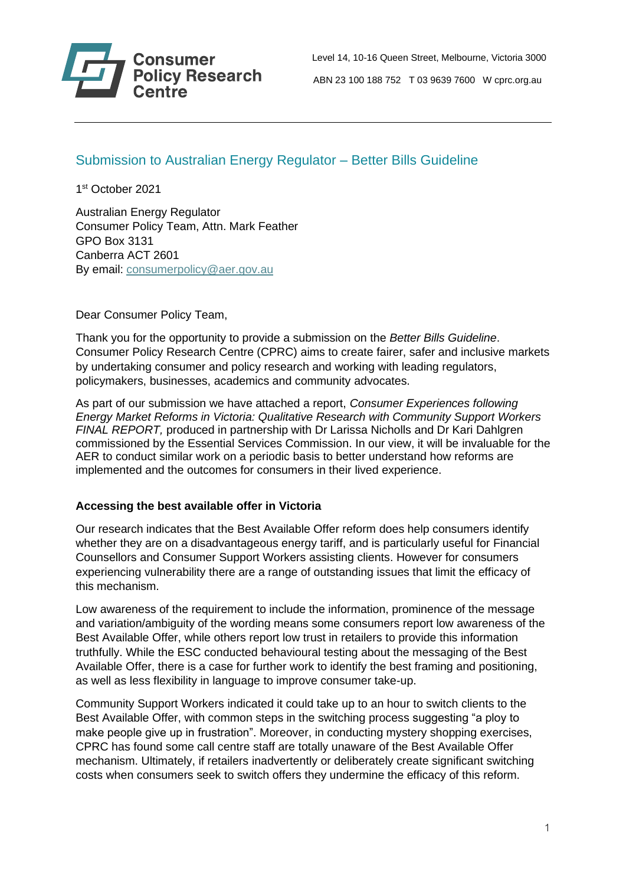

 Level 14, 10-16 Queen Street, Melbourne, Victoria 3000 **Policy Research** ABN 23 100 188 752 T 03 9639 7600 W cprc.org.au

# Submission to Australian Energy Regulator – Better Bills Guideline

1 st October 2021

Australian Energy Regulator Consumer Policy Team, Attn. Mark Feather GPO Box 3131 Canberra ACT 2601 By email: [consumerpolicy@aer.gov.au](mailto:consumerpolicy@aer.gov.au)

Dear Consumer Policy Team,

Thank you for the opportunity to provide a submission on the *Better Bills Guideline*. Consumer Policy Research Centre (CPRC) aims to create fairer, safer and inclusive markets by undertaking consumer and policy research and working with leading regulators, policymakers, businesses, academics and community advocates.

As part of our submission we have attached a report, *Consumer Experiences following Energy Market Reforms in Victoria: Qualitative Research with Community Support Workers FINAL REPORT,* produced in partnership with Dr Larissa Nicholls and Dr Kari Dahlgren commissioned by the Essential Services Commission. In our view, it will be invaluable for the AER to conduct similar work on a periodic basis to better understand how reforms are implemented and the outcomes for consumers in their lived experience.

# **Accessing the best available offer in Victoria**

Our research indicates that the Best Available Offer reform does help consumers identify whether they are on a disadvantageous energy tariff, and is particularly useful for Financial Counsellors and Consumer Support Workers assisting clients. However for consumers experiencing vulnerability there are a range of outstanding issues that limit the efficacy of this mechanism.

Low awareness of the requirement to include the information, prominence of the message and variation/ambiguity of the wording means some consumers report low awareness of the Best Available Offer, while others report low trust in retailers to provide this information truthfully. While the ESC conducted behavioural testing about the messaging of the Best Available Offer, there is a case for further work to identify the best framing and positioning, as well as less flexibility in language to improve consumer take-up.

Community Support Workers indicated it could take up to an hour to switch clients to the Best Available Offer, with common steps in the switching process suggesting "a ploy to make people give up in frustration". Moreover, in conducting mystery shopping exercises, CPRC has found some call centre staff are totally unaware of the Best Available Offer mechanism. Ultimately, if retailers inadvertently or deliberately create significant switching costs when consumers seek to switch offers they undermine the efficacy of this reform.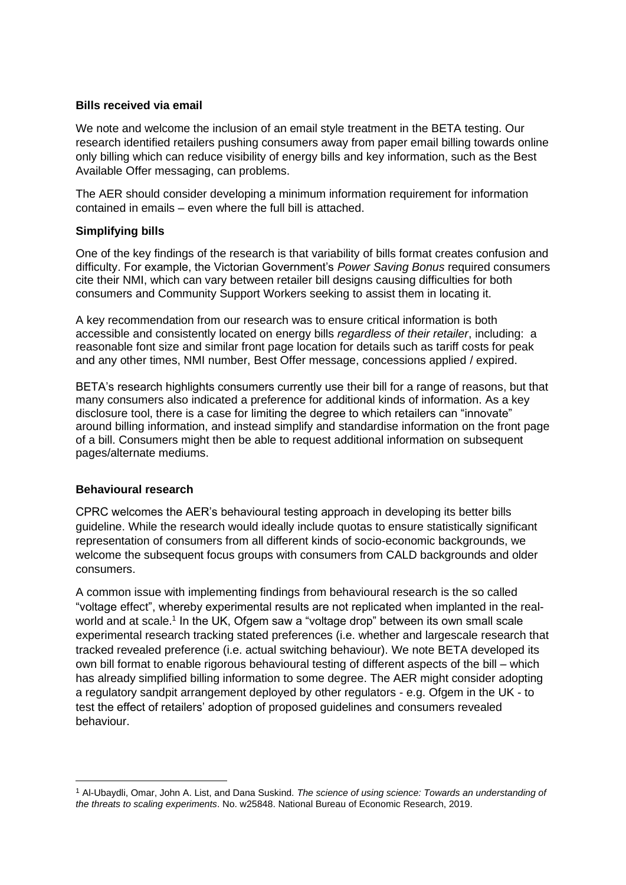### **Bills received via email**

We note and welcome the inclusion of an email style treatment in the BETA testing. Our research identified retailers pushing consumers away from paper email billing towards online only billing which can reduce visibility of energy bills and key information, such as the Best Available Offer messaging, can problems.

The AER should consider developing a minimum information requirement for information contained in emails – even where the full bill is attached.

# **Simplifying bills**

One of the key findings of the research is that variability of bills format creates confusion and difficulty. For example, the Victorian Government's *Power Saving Bonus* required consumers cite their NMI, which can vary between retailer bill designs causing difficulties for both consumers and Community Support Workers seeking to assist them in locating it.

A key recommendation from our research was to ensure critical information is both accessible and consistently located on energy bills *regardless of their retailer*, including: a reasonable font size and similar front page location for details such as tariff costs for peak and any other times, NMI number, Best Offer message, concessions applied / expired.

BETA's research highlights consumers currently use their bill for a range of reasons, but that many consumers also indicated a preference for additional kinds of information. As a key disclosure tool, there is a case for limiting the degree to which retailers can "innovate" around billing information, and instead simplify and standardise information on the front page of a bill. Consumers might then be able to request additional information on subsequent pages/alternate mediums.

# **Behavioural research**

CPRC welcomes the AER's behavioural testing approach in developing its better bills guideline. While the research would ideally include quotas to ensure statistically significant representation of consumers from all different kinds of socio-economic backgrounds, we welcome the subsequent focus groups with consumers from CALD backgrounds and older consumers.

A common issue with implementing findings from behavioural research is the so called "voltage effect", whereby experimental results are not replicated when implanted in the realworld and at scale.<sup>1</sup> In the UK, Ofgem saw a "voltage drop" between its own small scale experimental research tracking stated preferences (i.e. whether and largescale research that tracked revealed preference (i.e. actual switching behaviour). We note BETA developed its own bill format to enable rigorous behavioural testing of different aspects of the bill – which has already simplified billing information to some degree. The AER might consider adopting a regulatory sandpit arrangement deployed by other regulators - e.g. Ofgem in the UK - to test the effect of retailers' adoption of proposed guidelines and consumers revealed behaviour.

<sup>1</sup> Al-Ubaydli, Omar, John A. List, and Dana Suskind. *The science of using science: Towards an understanding of the threats to scaling experiments*. No. w25848. National Bureau of Economic Research, 2019.